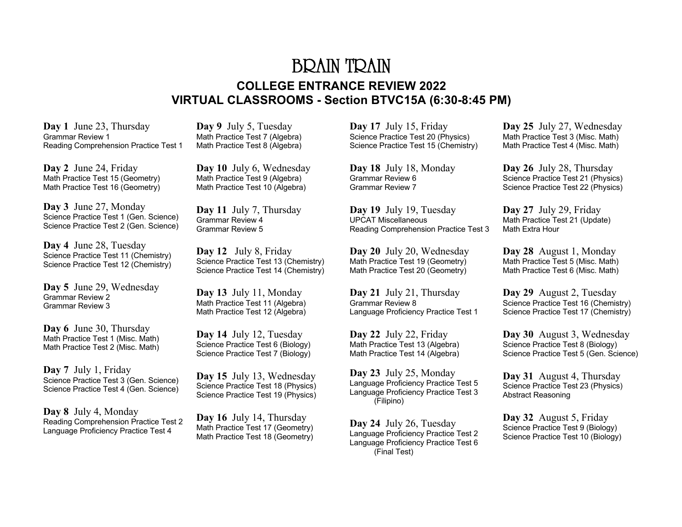# BRAIN TRAIN **COLLEGE ENTRANCE REVIEW 2022 VIRTUAL CLASSROOMS - Section BTVC15A (6:30-8:45 PM)**

**Day 1** June 23, Thursday Grammar Review 1 Reading Comprehension Practice Test 1

**Day 2** June 24, Friday Math Practice Test 15 (Geometry) Math Practice Test 16 (Geometry)

**Day 3** June 27, Monday Science Practice Test 1 (Gen. Science) Science Practice Test 2 (Gen. Science)

**Day 4** June 28, Tuesday Science Practice Test 11 (Chemistry) Science Practice Test 12 (Chemistry)

**Day 5** June 29, Wednesday Grammar Review 2 Grammar Review 3

**Day 6** June 30, Thursday Math Practice Test 1 (Misc. Math) Math Practice Test 2 (Misc. Math)

**Day 7** July 1, Friday Science Practice Test 3 (Gen. Science) Science Practice Test 4 (Gen. Science)

**Day 8** July 4, Monday Reading Comprehension Practice Test 2 Language Proficiency Practice Test 4

**Day 9** July 5, Tuesday Math Practice Test 7 (Algebra) Math Practice Test 8 (Algebra)

**Day 10** July 6, Wednesday Math Practice Test 9 (Algebra) Math Practice Test 10 (Algebra)

**Day 11** July 7, Thursday Grammar Review 4 Grammar Review 5

**Day 12** July 8, Friday Science Practice Test 13 (Chemistry) Science Practice Test 14 (Chemistry)

**Day 13** July 11, Monday Math Practice Test 11 (Algebra) Math Practice Test 12 (Algebra)

**Day 14** July 12, Tuesday Science Practice Test 6 (Biology) Science Practice Test 7 (Biology)

**Day 15** July 13, Wednesday Science Practice Test 18 (Physics) Science Practice Test 19 (Physics)

**Day 16** July 14, Thursday Math Practice Test 17 (Geometry) Math Practice Test 18 (Geometry) **Day 17** July 15, Friday Science Practice Test 20 (Physics) Science Practice Test 15 (Chemistry)

**Day 18** July 18, Monday Grammar Review 6 Grammar Review 7

**Day 19** July 19, Tuesday UPCAT Miscellaneous Reading Comprehension Practice Test 3

**Day 20** July 20, Wednesday Math Practice Test 19 (Geometry) Math Practice Test 20 (Geometry)

**Day 21** July 21, Thursday Grammar Review 8 Language Proficiency Practice Test 1

**Day 22** July 22, Friday Math Practice Test 13 (Algebra) Math Practice Test 14 (Algebra)

**Day 23** July 25, Monday Language Proficiency Practice Test 5 Language Proficiency Practice Test 3 (Filipino)

**Day 24** July 26, Tuesday Language Proficiency Practice Test 2 Language Proficiency Practice Test 6 (Final Test)

**Day 25** July 27, Wednesday Math Practice Test 3 (Misc. Math) Math Practice Test 4 (Misc. Math)

**Day 26** July 28, Thursday Science Practice Test 21 (Physics) Science Practice Test 22 (Physics)

**Day 27** July 29, Friday Math Practice Test 21 (Update) Math Extra Hour

**Day 28** August 1, Monday Math Practice Test 5 (Misc. Math) Math Practice Test 6 (Misc. Math)

**Day 29** August 2, Tuesday Science Practice Test 16 (Chemistry) Science Practice Test 17 (Chemistry)

**Day 30** August 3, Wednesday Science Practice Test 8 (Biology) Science Practice Test 5 (Gen. Science)

**Day 31** August 4, Thursday Science Practice Test 23 (Physics) Abstract Reasoning

**Day 32** August 5, Friday Science Practice Test 9 (Biology) Science Practice Test 10 (Biology)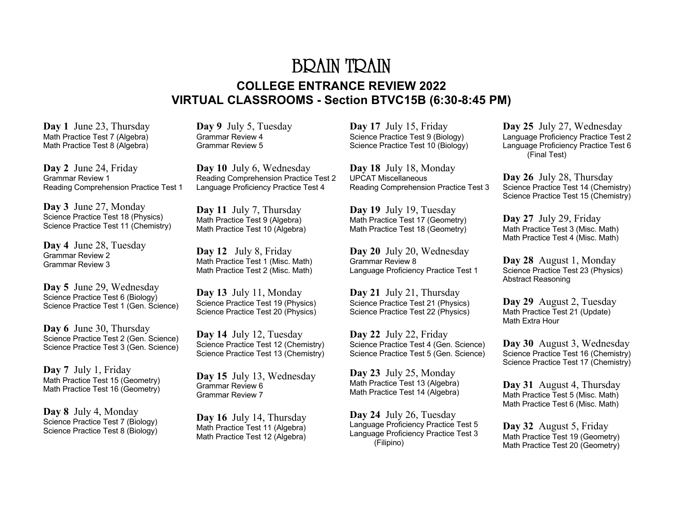# BRAIN TRAIN **COLLEGE ENTRANCE REVIEW 2022 VIRTUAL CLASSROOMS - Section BTVC15B (6:30-8:45 PM)**

**Day 1** June 23, Thursday Math Practice Test 7 (Algebra) Math Practice Test 8 (Algebra)

**Day 2** June 24, Friday Grammar Review 1 Reading Comprehension Practice Test 1

**Day 3** June 27, Monday Science Practice Test 18 (Physics) Science Practice Test 11 (Chemistry)

**Day 4** June 28, Tuesday Grammar Review 2 Grammar Review 3

**Day 5** June 29, Wednesday Science Practice Test 6 (Biology) Science Practice Test 1 (Gen. Science)

**Day 6** June 30, Thursday Science Practice Test 2 (Gen. Science) Science Practice Test 3 (Gen. Science)

**Day 7** July 1, Friday Math Practice Test 15 (Geometry) Math Practice Test 16 (Geometry)

**Day 8** July 4, Monday Science Practice Test 7 (Biology) Science Practice Test 8 (Biology) **Day 9** July 5, Tuesday Grammar Review 4 Grammar Review 5

**Day 10** July 6, Wednesday Reading Comprehension Practice Test 2 Language Proficiency Practice Test 4

**Day 11** July 7, Thursday Math Practice Test 9 (Algebra) Math Practice Test 10 (Algebra)

**Day 12** July 8, Friday Math Practice Test 1 (Misc. Math) Math Practice Test 2 (Misc. Math)

**Day 13** July 11, Monday Science Practice Test 19 (Physics) Science Practice Test 20 (Physics)

**Day 14** July 12, Tuesday Science Practice Test 12 (Chemistry) Science Practice Test 13 (Chemistry)

**Day 15** July 13, Wednesday Grammar Review 6 Grammar Review 7

**Day 16** July 14, Thursday Math Practice Test 11 (Algebra) Math Practice Test 12 (Algebra) **Day 17** July 15, Friday Science Practice Test 9 (Biology) Science Practice Test 10 (Biology)

**Day 18** July 18, Monday UPCAT Miscellaneous Reading Comprehension Practice Test 3

**Day 19** July 19, Tuesday Math Practice Test 17 (Geometry) Math Practice Test 18 (Geometry)

**Day 20** July 20, Wednesday Grammar Review 8 Language Proficiency Practice Test 1

**Day 21** July 21, Thursday Science Practice Test 21 (Physics) Science Practice Test 22 (Physics)

**Day 22** July 22, Friday Science Practice Test 4 (Gen. Science) Science Practice Test 5 (Gen. Science)

**Day 23** July 25, Monday Math Practice Test 13 (Algebra) Math Practice Test 14 (Algebra)

**Day 24** July 26, Tuesday Language Proficiency Practice Test 5 Language Proficiency Practice Test 3 (Filipino)

**Day 25** July 27, Wednesday Language Proficiency Practice Test 2 Language Proficiency Practice Test 6 (Final Test)

**Day 26** July 28, Thursday Science Practice Test 14 (Chemistry) Science Practice Test 15 (Chemistry)

**Day 27** July 29, Friday Math Practice Test 3 (Misc. Math) Math Practice Test 4 (Misc. Math)

**Day 28** August 1, Monday Science Practice Test 23 (Physics) Abstract Reasoning

**Day 29** August 2, Tuesday Math Practice Test 21 (Update) Math Extra Hour

**Day 30** August 3, Wednesday Science Practice Test 16 (Chemistry) Science Practice Test 17 (Chemistry)

**Day 31** August 4, Thursday Math Practice Test 5 (Misc. Math) Math Practice Test 6 (Misc. Math)

**Day 32** August 5, Friday Math Practice Test 19 (Geometry) Math Practice Test 20 (Geometry)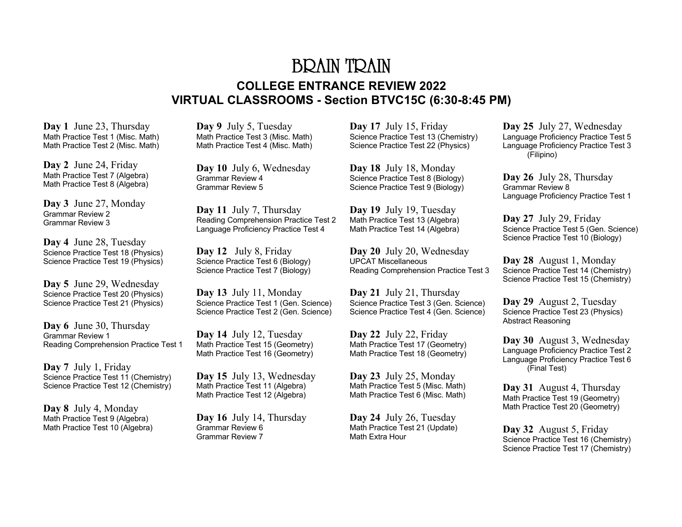# BRAIN TRAIN **COLLEGE ENTRANCE REVIEW 2022 VIRTUAL CLASSROOMS - Section BTVC15C (6:30-8:45 PM)**

**Day 1** June 23, Thursday Math Practice Test 1 (Misc. Math) Math Practice Test 2 (Misc. Math)

**Day 2** June 24, Friday Math Practice Test 7 (Algebra) Math Practice Test 8 (Algebra)

**Day 3** June 27, Monday Grammar Review 2 Grammar Review 3

**Day 4** June 28, Tuesday Science Practice Test 18 (Physics) Science Practice Test 19 (Physics)

**Day 5** June 29, Wednesday Science Practice Test 20 (Physics) Science Practice Test 21 (Physics)

**Day 6** June 30, Thursday Grammar Review 1 Reading Comprehension Practice Test 1

**Day 7** July 1, Friday Science Practice Test 11 (Chemistry) Science Practice Test 12 (Chemistry)

**Day 8** July 4, Monday Math Practice Test 9 (Algebra) Math Practice Test 10 (Algebra) **Day 9** July 5, Tuesday Math Practice Test 3 (Misc. Math) Math Practice Test 4 (Misc. Math)

**Day 10** July 6, Wednesday Grammar Review 4 Grammar Review 5

**Day 11** July 7, Thursday Reading Comprehension Practice Test 2 Language Proficiency Practice Test 4

**Day 12** July 8, Friday Science Practice Test 6 (Biology) Science Practice Test 7 (Biology)

**Day 13** July 11, Monday Science Practice Test 1 (Gen. Science) Science Practice Test 2 (Gen. Science)

**Day 14** July 12, Tuesday Math Practice Test 15 (Geometry) Math Practice Test 16 (Geometry)

**Day 15** July 13, Wednesday Math Practice Test 11 (Algebra) Math Practice Test 12 (Algebra)

**Day 16** July 14, Thursday Grammar Review 6 Grammar Review 7

**Day 17** July 15, Friday Science Practice Test 13 (Chemistry) Science Practice Test 22 (Physics)

**Day 18** July 18, Monday Science Practice Test 8 (Biology) Science Practice Test 9 (Biology)

**Day 19** July 19, Tuesday Math Practice Test 13 (Algebra) Math Practice Test 14 (Algebra)

**Day 20** July 20, Wednesday UPCAT Miscellaneous Reading Comprehension Practice Test 3

**Day 21** July 21, Thursday Science Practice Test 3 (Gen. Science) Science Practice Test 4 (Gen. Science)

**Day 22** July 22, Friday Math Practice Test 17 (Geometry) Math Practice Test 18 (Geometry)

**Day 23** July 25, Monday Math Practice Test 5 (Misc. Math) Math Practice Test 6 (Misc. Math)

**Day 24** July 26, Tuesday Math Practice Test 21 (Update) Math Extra Hour

**Day 25** July 27, Wednesday Language Proficiency Practice Test 5 Language Proficiency Practice Test 3 (Filipino)

**Day 26** July 28, Thursday Grammar Review 8 Language Proficiency Practice Test 1

**Day 27** July 29, Friday Science Practice Test 5 (Gen. Science) Science Practice Test 10 (Biology)

**Day 28** August 1, Monday Science Practice Test 14 (Chemistry) Science Practice Test 15 (Chemistry)

**Day 29** August 2, Tuesday Science Practice Test 23 (Physics) Abstract Reasoning

**Day 30** August 3, Wednesday Language Proficiency Practice Test 2 Language Proficiency Practice Test 6 (Final Test)

**Day 31** August 4, Thursday Math Practice Test 19 (Geometry) Math Practice Test 20 (Geometry)

**Day 32** August 5, Friday Science Practice Test 16 (Chemistry) Science Practice Test 17 (Chemistry)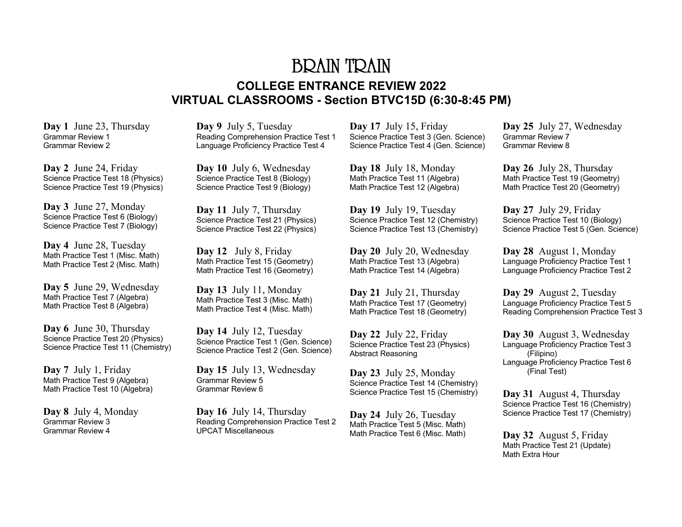# BRAIN TRAIN **COLLEGE ENTRANCE REVIEW 2022 VIRTUAL CLASSROOMS - Section BTVC15D (6:30-8:45 PM)**

**Day 1** June 23, Thursday Grammar Review 1 Grammar Review 2

**Day 2** June 24, Friday Science Practice Test 18 (Physics) Science Practice Test 19 (Physics)

**Day 3** June 27, Monday Science Practice Test 6 (Biology) Science Practice Test 7 (Biology)

**Day 4** June 28, Tuesday Math Practice Test 1 (Misc. Math) Math Practice Test 2 (Misc. Math)

**Day 5** June 29, Wednesday Math Practice Test 7 (Algebra) Math Practice Test 8 (Algebra)

**Day 6** June 30, Thursday Science Practice Test 20 (Physics) Science Practice Test 11 (Chemistry)

**Day 7** July 1, Friday Math Practice Test 9 (Algebra) Math Practice Test 10 (Algebra)

**Day 8** July 4, Monday Grammar Review 3 Grammar Review 4

**Day 9** July 5, Tuesday Reading Comprehension Practice Test 1 Language Proficiency Practice Test 4

**Day 10** July 6, Wednesday Science Practice Test 8 (Biology) Science Practice Test 9 (Biology)

**Day 11** July 7, Thursday Science Practice Test 21 (Physics) Science Practice Test 22 (Physics)

**Day 12** July 8, Friday Math Practice Test 15 (Geometry) Math Practice Test 16 (Geometry)

**Day 13** July 11, Monday Math Practice Test 3 (Misc. Math) Math Practice Test 4 (Misc. Math)

**Day 14** July 12, Tuesday Science Practice Test 1 (Gen. Science) Science Practice Test 2 (Gen. Science)

**Day 15** July 13, Wednesday Grammar Review 5 Grammar Review 6

**Day 16** July 14, Thursday Reading Comprehension Practice Test 2 UPCAT Miscellaneous

**Day 17** July 15, Friday Science Practice Test 3 (Gen. Science) Science Practice Test 4 (Gen. Science)

**Day 18** July 18, Monday Math Practice Test 11 (Algebra) Math Practice Test 12 (Algebra)

**Day 19** July 19, Tuesday Science Practice Test 12 (Chemistry) Science Practice Test 13 (Chemistry)

**Day 20** July 20, Wednesday Math Practice Test 13 (Algebra) Math Practice Test 14 (Algebra)

**Day 21** July 21, Thursday Math Practice Test 17 (Geometry) Math Practice Test 18 (Geometry)

**Day 22** July 22, Friday Science Practice Test 23 (Physics) Abstract Reasoning

**Day 23** July 25, Monday Science Practice Test 14 (Chemistry) Science Practice Test 15 (Chemistry)

**Day 24** July 26, Tuesday Math Practice Test 5 (Misc. Math) Math Practice Test 6 (Misc. Math)

**Day 25** July 27, Wednesday Grammar Review 7 Grammar Review 8

**Day 26** July 28, Thursday Math Practice Test 19 (Geometry) Math Practice Test 20 (Geometry)

**Day 27** July 29, Friday Science Practice Test 10 (Biology) Science Practice Test 5 (Gen. Science)

**Day 28** August 1, Monday Language Proficiency Practice Test 1 Language Proficiency Practice Test 2

**Day 29** August 2, Tuesday Language Proficiency Practice Test 5 Reading Comprehension Practice Test 3

**Day 30** August 3, Wednesday Language Proficiency Practice Test 3 (Filipino) Language Proficiency Practice Test 6 (Final Test)

**Day 31** August 4, Thursday Science Practice Test 16 (Chemistry) Science Practice Test 17 (Chemistry)

**Day 32** August 5, Friday Math Practice Test 21 (Update) Math Extra Hour